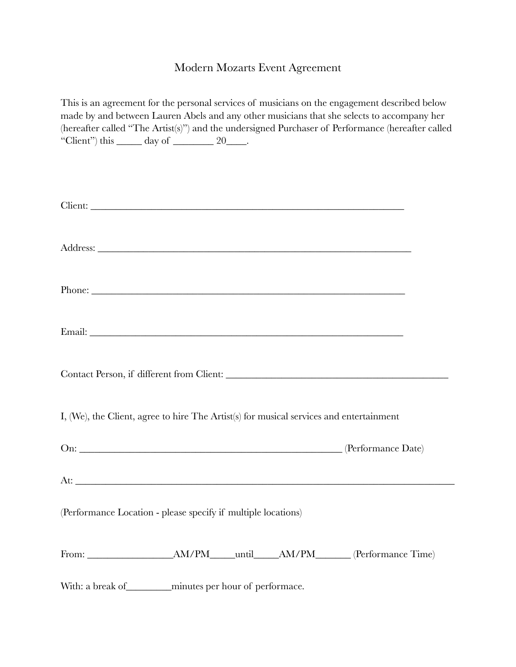## Modern Mozarts Event Agreement

| This is an agreement for the personal services of musicians on the engagement described below<br>made by and between Lauren Abels and any other musicians that she selects to accompany her<br>(hereafter called "The Artist(s)") and the undersigned Purchaser of Performance (hereafter called<br>"Client") this $\_\_\_\_$ day of $\_\_\_\_\_$ 20 $\_\_\_\_\$ . |  |
|--------------------------------------------------------------------------------------------------------------------------------------------------------------------------------------------------------------------------------------------------------------------------------------------------------------------------------------------------------------------|--|
|                                                                                                                                                                                                                                                                                                                                                                    |  |
|                                                                                                                                                                                                                                                                                                                                                                    |  |
|                                                                                                                                                                                                                                                                                                                                                                    |  |
|                                                                                                                                                                                                                                                                                                                                                                    |  |
|                                                                                                                                                                                                                                                                                                                                                                    |  |
| I, (We), the Client, agree to hire The Artist(s) for musical services and entertainment                                                                                                                                                                                                                                                                            |  |
|                                                                                                                                                                                                                                                                                                                                                                    |  |
|                                                                                                                                                                                                                                                                                                                                                                    |  |
| (Performance Location - please specify if multiple locations)                                                                                                                                                                                                                                                                                                      |  |
|                                                                                                                                                                                                                                                                                                                                                                    |  |
| With: a break of ________ minutes per hour of performace.                                                                                                                                                                                                                                                                                                          |  |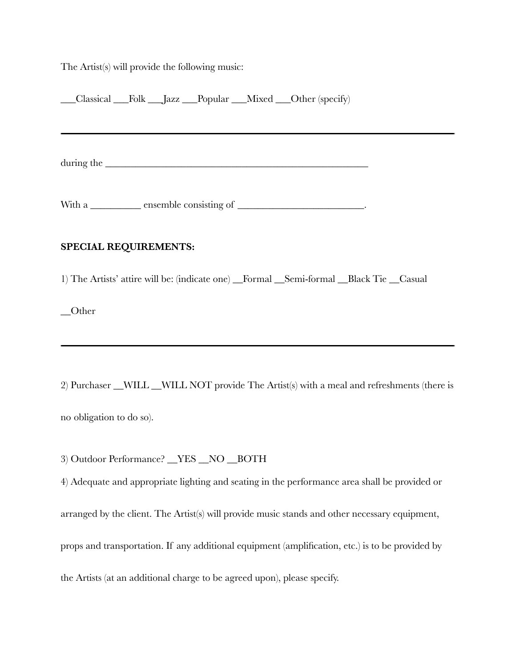The Artist(s) will provide the following music:

| Classical Folk Jazz Popular Mixed Other (specify)                                                                                                                                                                              |  |
|--------------------------------------------------------------------------------------------------------------------------------------------------------------------------------------------------------------------------------|--|
|                                                                                                                                                                                                                                |  |
| during the service of the service of the service of the service of the service of the service of the service of the service of the service of the service of the service of the service of the service of the service of the s |  |
| With a ___________ ensemble consisting of ________________________________.                                                                                                                                                    |  |
| <b>SPECIAL REQUIREMENTS:</b>                                                                                                                                                                                                   |  |
| 1) The Artists' attire will be: (indicate one) _Formal _Semi-formal _Black Tie _Casual                                                                                                                                         |  |
| $\sqrt{\frac{1}{1-\epsilon}}$                                                                                                                                                                                                  |  |

2) Purchaser \_\_WILL \_\_WILL NOT provide The Artist(s) with a meal and refreshments (there is no obligation to do so).

3) Outdoor Performance? \_\_YES \_\_NO \_\_BOTH

4) Adequate and appropriate lighting and seating in the performance area shall be provided or arranged by the client. The Artist(s) will provide music stands and other necessary equipment, props and transportation. If any additional equipment (amplification, etc.) is to be provided by the Artists (at an additional charge to be agreed upon), please specify.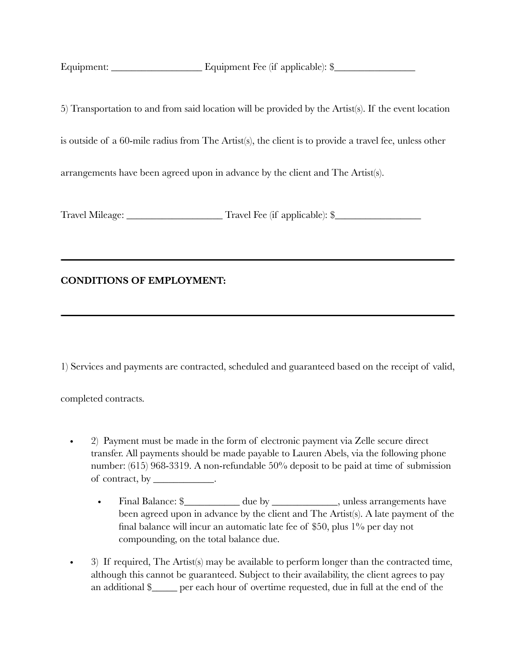Equipment: \_\_\_\_\_\_\_\_\_\_\_\_\_\_\_\_\_\_ Equipment Fee (if applicable): \$\_\_\_\_\_\_\_\_\_\_\_\_\_\_\_\_

5) Transportation to and from said location will be provided by the Artist(s). If the event location is outside of a 60-mile radius from The Artist(s), the client is to provide a travel fee, unless other arrangements have been agreed upon in advance by the client and The Artist(s).

Travel Mileage: \_\_\_\_\_\_\_\_\_\_\_\_\_\_\_\_\_\_\_ Travel Fee (if applicable): \$\_\_\_\_\_\_\_\_\_\_\_\_\_\_\_\_\_

## **CONDITIONS OF EMPLOYMENT:**

1) Services and payments are contracted, scheduled and guaranteed based on the receipt of valid,

completed contracts.

- 2) Payment must be made in the form of electronic payment via Zelle secure direct transfer. All payments should be made payable to Lauren Abels, via the following phone number: (615) 968-3319. A non-refundable 50% deposit to be paid at time of submission of contract, by  $\_\_\_\_\_\_\_\_\_\_\_\_\$ .
	- Final Balance: \$\_\_\_\_\_\_\_\_\_\_\_\_ due by \_\_\_\_\_\_\_\_\_\_\_\_\_, unless arrangements have been agreed upon in advance by the client and The Artist(s). A late payment of the final balance will incur an automatic late fee of \$50, plus 1% per day not compounding, on the total balance due.
- 3) If required, The Artist(s) may be available to perform longer than the contracted time, although this cannot be guaranteed. Subject to their availability, the client agrees to pay an additional \$\_\_\_\_\_ per each hour of overtime requested, due in full at the end of the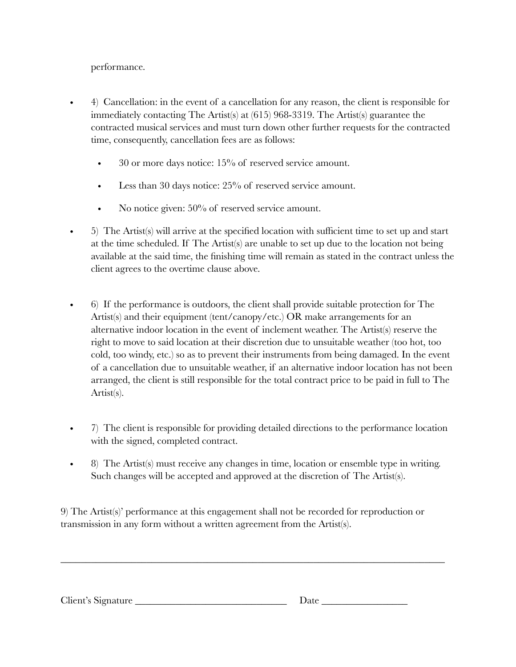## performance.

- 4) Cancellation: in the event of a cancellation for any reason, the client is responsible for immediately contacting The Artist(s) at (615) 968-3319. The Artist(s) guarantee the contracted musical services and must turn down other further requests for the contracted time, consequently, cancellation fees are as follows:
	- 30 or more days notice: 15% of reserved service amount.
	- Less than 30 days notice: 25% of reserved service amount.
	- No notice given:  $50\%$  of reserved service amount.
- 5) The Artist(s) will arrive at the specified location with sufficient time to set up and start at the time scheduled. If The Artist(s) are unable to set up due to the location not being available at the said time, the finishing time will remain as stated in the contract unless the client agrees to the overtime clause above.
- 6) If the performance is outdoors, the client shall provide suitable protection for The Artist(s) and their equipment (tent/canopy/etc.) OR make arrangements for an alternative indoor location in the event of inclement weather. The Artist(s) reserve the right to move to said location at their discretion due to unsuitable weather (too hot, too cold, too windy, etc.) so as to prevent their instruments from being damaged. In the event of a cancellation due to unsuitable weather, if an alternative indoor location has not been arranged, the client is still responsible for the total contract price to be paid in full to The Artist(s).
- 7) The client is responsible for providing detailed directions to the performance location with the signed, completed contract.
- 8) The Artist(s) must receive any changes in time, location or ensemble type in writing. Such changes will be accepted and approved at the discretion of The Artist(s).

9) The Artist(s)' performance at this engagement shall not be recorded for reproduction or transmission in any form without a written agreement from the Artist(s).

\_\_\_\_\_\_\_\_\_\_\_\_\_\_\_\_\_\_\_\_\_\_\_\_\_\_\_\_\_\_\_\_\_\_\_\_\_\_\_\_\_\_\_\_\_\_\_\_\_\_\_\_\_\_\_\_\_\_\_\_\_\_\_\_\_\_\_\_\_\_\_\_\_\_\_\_